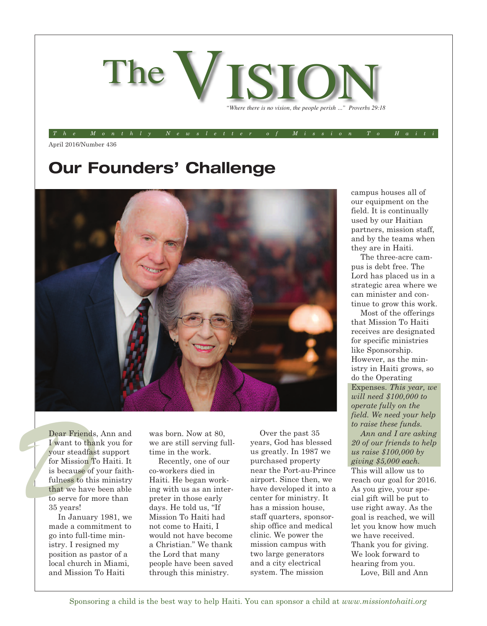

The Monthly Newsletter of Mission To Hait

April 2016/Number 436

# **Our Founders' Challenge**



Dear Friends<br>
I want to the<br>
your steadfas<br>
for Mission I<br>
is because of<br>
fulness to thi<br>
that we have<br>
to some for m Dear Friends, Ann and I want to thank you for your steadfast support for Mission To Haiti. It is because of your faithfulness to this ministry that we have been able to serve for more than 35 years!

> In January 1981, we made a commitment to go into full-time ministry. I resigned my position as pastor of a local church in Miami, and Mission To Haiti

was born. Now at 80, we are still serving fulltime in the work.

Recently, one of our co-workers died in Haiti. He began working with us as an interpreter in those early days. He told us, "If Mission To Haiti had not come to Haiti, I would not have become a Christian." We thank the Lord that many people have been saved through this ministry.

Over the past 35 years, God has blessed us greatly. In 1987 we purchased property near the Port-au-Prince airport. Since then, we have developed it into a center for ministry. It has a mission house, staff quarters, sponsorship office and medical clinic. We power the mission campus with two large generators and a city electrical system. The mission

campus houses all of our equipment on the field. It is continually used by our Haitian partners, mission staff, and by the teams when they are in Haiti.

The three-acre campus is debt free. The Lord has placed us in a strategic area where we can minister and continue to grow this work.

Most of the offerings that Mission To Haiti receives are designated for specific ministries like Sponsorship. However, as the ministry in Haiti grows, so do the Operating Expenses. *This year, we will need \$100,000 to operate fully on the field. We need your help to raise these funds.*

*Ann and I are asking 20 of our friends to help us raise \$100,000 by giving \$5,000 each.* This will allow us to reach our goal for 2016. As you give, your special gift will be put to use right away. As the goal is reached, we will let you know how much we have received. Thank you for giving. We look forward to hearing from you. Love, Bill and Ann